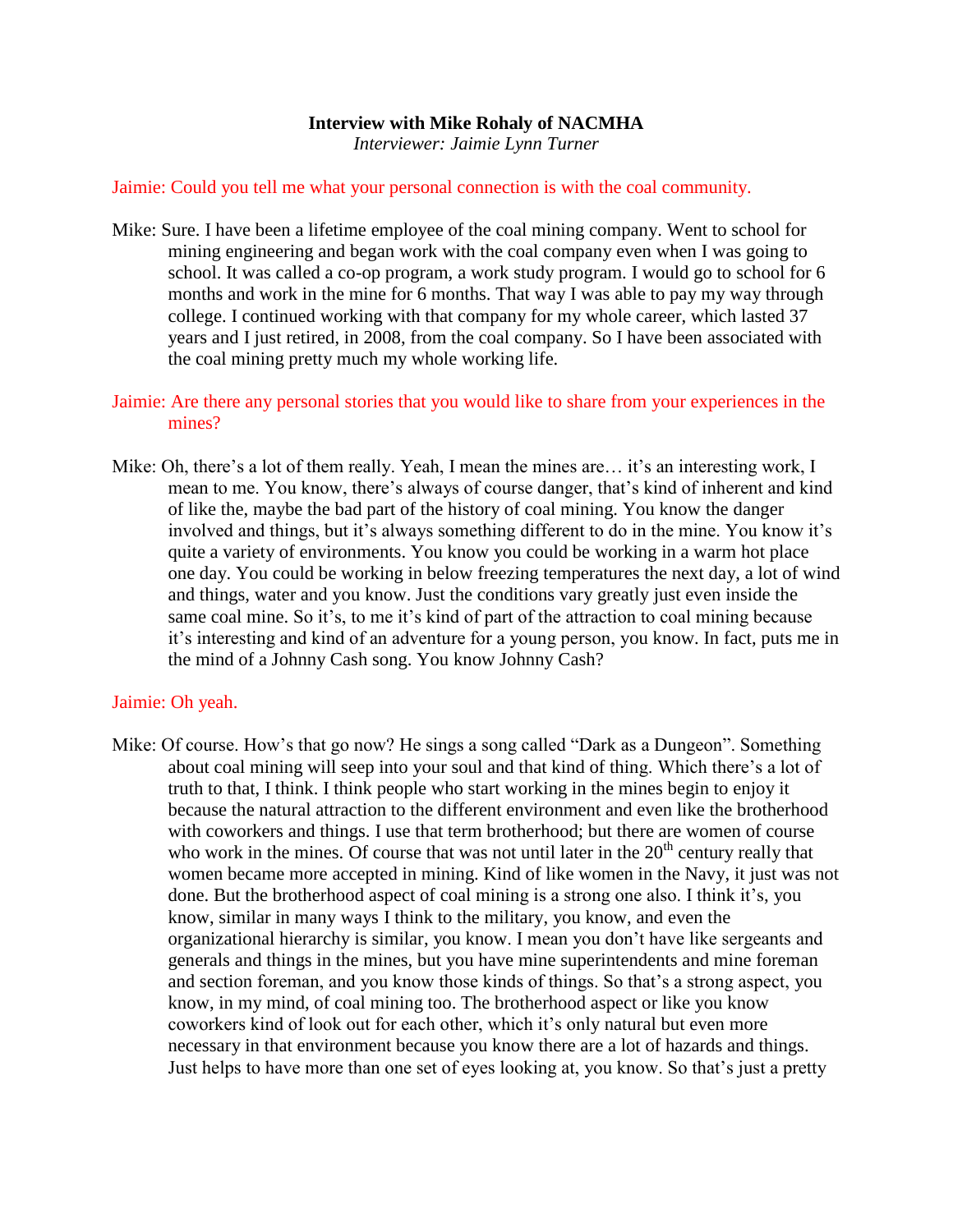## **Interview with Mike Rohaly of NACMHA**

*Interviewer: Jaimie Lynn Turner*

#### Jaimie: Could you tell me what your personal connection is with the coal community.

- Mike: Sure. I have been a lifetime employee of the coal mining company. Went to school for mining engineering and began work with the coal company even when I was going to school. It was called a co-op program, a work study program. I would go to school for 6 months and work in the mine for 6 months. That way I was able to pay my way through college. I continued working with that company for my whole career, which lasted 37 years and I just retired, in 2008, from the coal company. So I have been associated with the coal mining pretty much my whole working life.
- Jaimie: Are there any personal stories that you would like to share from your experiences in the mines?
- Mike: Oh, there's a lot of them really. Yeah, I mean the mines are... it's an interesting work, I mean to me. You know, there's always of course danger, that's kind of inherent and kind of like the, maybe the bad part of the history of coal mining. You know the danger involved and things, but it's always something different to do in the mine. You know it's quite a variety of environments. You know you could be working in a warm hot place one day. You could be working in below freezing temperatures the next day, a lot of wind and things, water and you know. Just the conditions vary greatly just even inside the same coal mine. So it's, to me it's kind of part of the attraction to coal mining because it's interesting and kind of an adventure for a young person, you know. In fact, puts me in the mind of a Johnny Cash song. You know Johnny Cash?

#### Jaimie: Oh yeah.

Mike: Of course. How's that go now? He sings a song called "Dark as a Dungeon". Something about coal mining will seep into your soul and that kind of thing. Which there's a lot of truth to that, I think. I think people who start working in the mines begin to enjoy it because the natural attraction to the different environment and even like the brotherhood with coworkers and things. I use that term brotherhood; but there are women of course who work in the mines. Of course that was not until later in the  $20<sup>th</sup>$  century really that women became more accepted in mining. Kind of like women in the Navy, it just was not done. But the brotherhood aspect of coal mining is a strong one also. I think it's, you know, similar in many ways I think to the military, you know, and even the organizational hierarchy is similar, you know. I mean you don't have like sergeants and generals and things in the mines, but you have mine superintendents and mine foreman and section foreman, and you know those kinds of things. So that's a strong aspect, you know, in my mind, of coal mining too. The brotherhood aspect or like you know coworkers kind of look out for each other, which it's only natural but even more necessary in that environment because you know there are a lot of hazards and things. Just helps to have more than one set of eyes looking at, you know. So that's just a pretty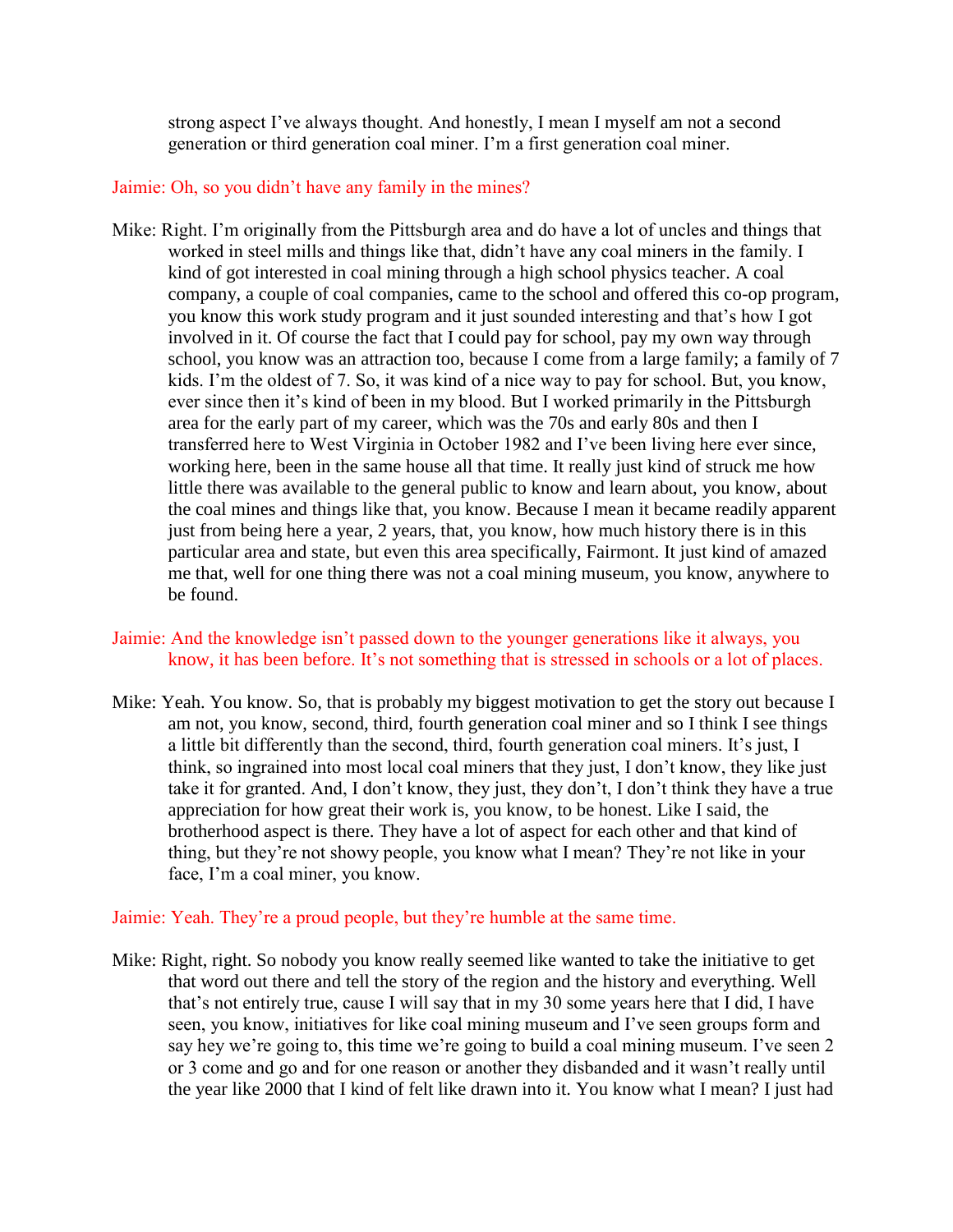strong aspect I've always thought. And honestly, I mean I myself am not a second generation or third generation coal miner. I'm a first generation coal miner.

## Jaimie: Oh, so you didn't have any family in the mines?

Mike: Right. I'm originally from the Pittsburgh area and do have a lot of uncles and things that worked in steel mills and things like that, didn't have any coal miners in the family. I kind of got interested in coal mining through a high school physics teacher. A coal company, a couple of coal companies, came to the school and offered this co-op program, you know this work study program and it just sounded interesting and that's how I got involved in it. Of course the fact that I could pay for school, pay my own way through school, you know was an attraction too, because I come from a large family; a family of 7 kids. I'm the oldest of 7. So, it was kind of a nice way to pay for school. But, you know, ever since then it's kind of been in my blood. But I worked primarily in the Pittsburgh area for the early part of my career, which was the 70s and early 80s and then I transferred here to West Virginia in October 1982 and I've been living here ever since, working here, been in the same house all that time. It really just kind of struck me how little there was available to the general public to know and learn about, you know, about the coal mines and things like that, you know. Because I mean it became readily apparent just from being here a year, 2 years, that, you know, how much history there is in this particular area and state, but even this area specifically, Fairmont. It just kind of amazed me that, well for one thing there was not a coal mining museum, you know, anywhere to be found.

# Jaimie: And the knowledge isn't passed down to the younger generations like it always, you know, it has been before. It's not something that is stressed in schools or a lot of places.

Mike: Yeah. You know. So, that is probably my biggest motivation to get the story out because I am not, you know, second, third, fourth generation coal miner and so I think I see things a little bit differently than the second, third, fourth generation coal miners. It's just, I think, so ingrained into most local coal miners that they just, I don't know, they like just take it for granted. And, I don't know, they just, they don't, I don't think they have a true appreciation for how great their work is, you know, to be honest. Like I said, the brotherhood aspect is there. They have a lot of aspect for each other and that kind of thing, but they're not showy people, you know what I mean? They're not like in your face, I'm a coal miner, you know.

# Jaimie: Yeah. They're a proud people, but they're humble at the same time.

Mike: Right, right. So nobody you know really seemed like wanted to take the initiative to get that word out there and tell the story of the region and the history and everything. Well that's not entirely true, cause I will say that in my 30 some years here that I did, I have seen, you know, initiatives for like coal mining museum and I've seen groups form and say hey we're going to, this time we're going to build a coal mining museum. I've seen 2 or 3 come and go and for one reason or another they disbanded and it wasn't really until the year like 2000 that I kind of felt like drawn into it. You know what I mean? I just had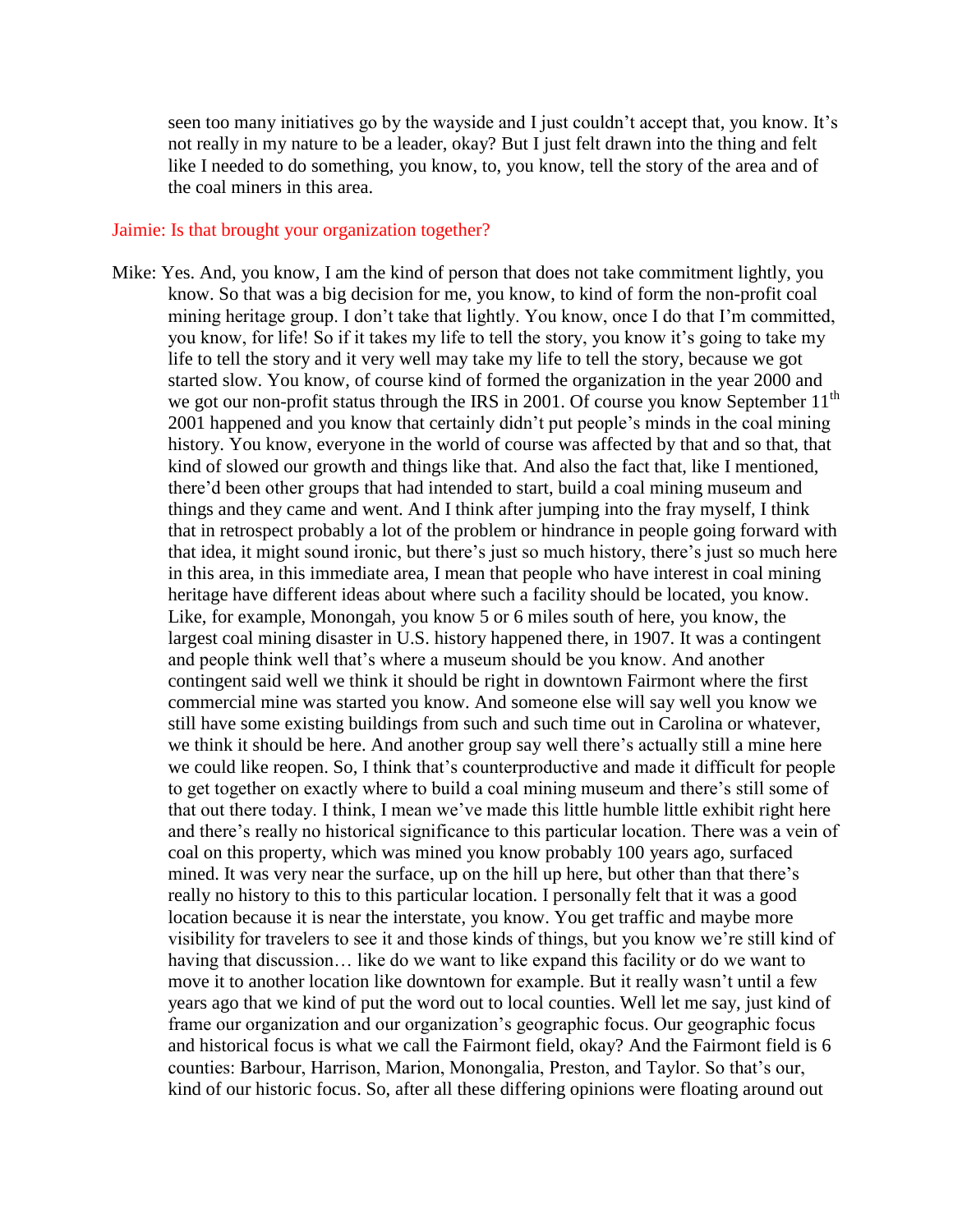seen too many initiatives go by the wayside and I just couldn't accept that, you know. It's not really in my nature to be a leader, okay? But I just felt drawn into the thing and felt like I needed to do something, you know, to, you know, tell the story of the area and of the coal miners in this area.

#### Jaimie: Is that brought your organization together?

Mike: Yes. And, you know, I am the kind of person that does not take commitment lightly, you know. So that was a big decision for me, you know, to kind of form the non-profit coal mining heritage group. I don't take that lightly. You know, once I do that I'm committed, you know, for life! So if it takes my life to tell the story, you know it's going to take my life to tell the story and it very well may take my life to tell the story, because we got started slow. You know, of course kind of formed the organization in the year 2000 and we got our non-profit status through the IRS in 2001. Of course you know September 11<sup>th</sup> 2001 happened and you know that certainly didn't put people's minds in the coal mining history. You know, everyone in the world of course was affected by that and so that, that kind of slowed our growth and things like that. And also the fact that, like I mentioned, there'd been other groups that had intended to start, build a coal mining museum and things and they came and went. And I think after jumping into the fray myself, I think that in retrospect probably a lot of the problem or hindrance in people going forward with that idea, it might sound ironic, but there's just so much history, there's just so much here in this area, in this immediate area, I mean that people who have interest in coal mining heritage have different ideas about where such a facility should be located, you know. Like, for example, Monongah, you know 5 or 6 miles south of here, you know, the largest coal mining disaster in U.S. history happened there, in 1907. It was a contingent and people think well that's where a museum should be you know. And another contingent said well we think it should be right in downtown Fairmont where the first commercial mine was started you know. And someone else will say well you know we still have some existing buildings from such and such time out in Carolina or whatever, we think it should be here. And another group say well there's actually still a mine here we could like reopen. So, I think that's counterproductive and made it difficult for people to get together on exactly where to build a coal mining museum and there's still some of that out there today. I think, I mean we've made this little humble little exhibit right here and there's really no historical significance to this particular location. There was a vein of coal on this property, which was mined you know probably 100 years ago, surfaced mined. It was very near the surface, up on the hill up here, but other than that there's really no history to this to this particular location. I personally felt that it was a good location because it is near the interstate, you know. You get traffic and maybe more visibility for travelers to see it and those kinds of things, but you know we're still kind of having that discussion... like do we want to like expand this facility or do we want to move it to another location like downtown for example. But it really wasn't until a few years ago that we kind of put the word out to local counties. Well let me say, just kind of frame our organization and our organization's geographic focus. Our geographic focus and historical focus is what we call the Fairmont field, okay? And the Fairmont field is 6 counties: Barbour, Harrison, Marion, Monongalia, Preston, and Taylor. So that's our, kind of our historic focus. So, after all these differing opinions were floating around out